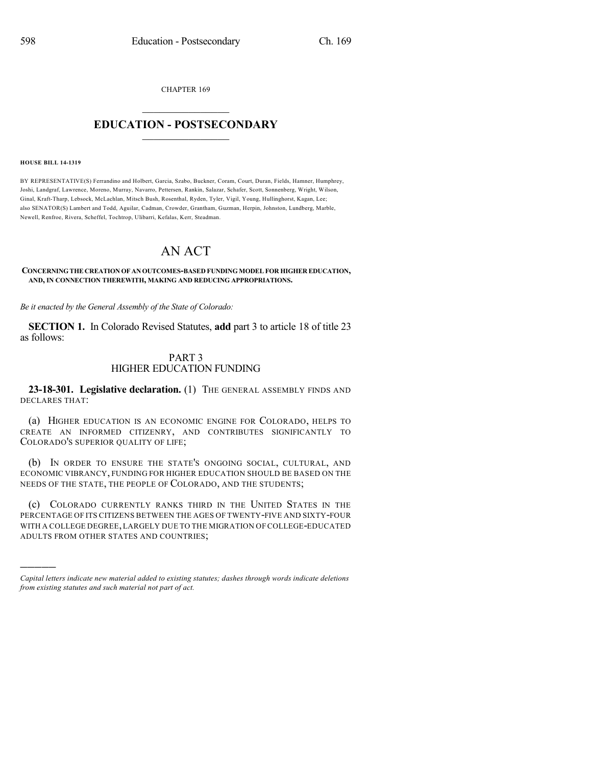CHAPTER 169

## $\mathcal{L}_\text{max}$  . The set of the set of the set of the set of the set of the set of the set of the set of the set of the set of the set of the set of the set of the set of the set of the set of the set of the set of the set **EDUCATION - POSTSECONDARY**  $\_$   $\_$   $\_$   $\_$   $\_$   $\_$   $\_$   $\_$   $\_$

#### **HOUSE BILL 14-1319**

)))))

BY REPRESENTATIVE(S) Ferrandino and Holbert, Garcia, Szabo, Buckner, Coram, Court, Duran, Fields, Hamner, Humphrey, Joshi, Landgraf, Lawrence, Moreno, Murray, Navarro, Pettersen, Rankin, Salazar, Schafer, Scott, Sonnenberg, Wright, Wilson, Ginal, Kraft-Tharp, Lebsock, McLachlan, Mitsch Bush, Rosenthal, Ryden, Tyler, Vigil, Young, Hullinghorst, Kagan, Lee; also SENATOR(S) Lambert and Todd, Aguilar, Cadman, Crowder, Grantham, Guzman, Herpin, Johnston, Lundberg, Marble, Newell, Renfroe, Rivera, Scheffel, Tochtrop, Ulibarri, Kefalas, Kerr, Steadman.

# AN ACT

**CONCERNINGTHE CREATION OF ANOUTCOMES-BASED FUNDING MODEL FOR HIGHER EDUCATION, AND, IN CONNECTION THEREWITH, MAKING AND REDUCING APPROPRIATIONS.**

*Be it enacted by the General Assembly of the State of Colorado:*

**SECTION 1.** In Colorado Revised Statutes, **add** part 3 to article 18 of title 23 as follows:

### PART 3 HIGHER EDUCATION FUNDING

**23-18-301. Legislative declaration.** (1) THE GENERAL ASSEMBLY FINDS AND DECLARES THAT:

(a) HIGHER EDUCATION IS AN ECONOMIC ENGINE FOR COLORADO, HELPS TO CREATE AN INFORMED CITIZENRY, AND CONTRIBUTES SIGNIFICANTLY TO COLORADO'S SUPERIOR QUALITY OF LIFE;

(b) IN ORDER TO ENSURE THE STATE'S ONGOING SOCIAL, CULTURAL, AND ECONOMIC VIBRANCY, FUNDING FOR HIGHER EDUCATION SHOULD BE BASED ON THE NEEDS OF THE STATE, THE PEOPLE OF COLORADO, AND THE STUDENTS;

(c) COLORADO CURRENTLY RANKS THIRD IN THE UNITED STATES IN THE PERCENTAGE OF ITS CITIZENS BETWEEN THE AGES OF TWENTY-FIVE AND SIXTY-FOUR WITH A COLLEGE DEGREE,LARGELY DUE TO THE MIGRATION OF COLLEGE-EDUCATED ADULTS FROM OTHER STATES AND COUNTRIES;

*Capital letters indicate new material added to existing statutes; dashes through words indicate deletions from existing statutes and such material not part of act.*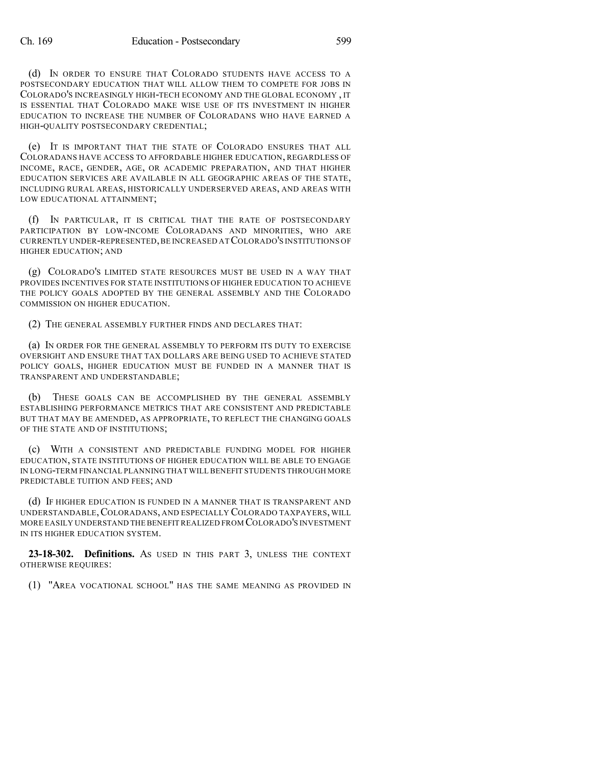(d) IN ORDER TO ENSURE THAT COLORADO STUDENTS HAVE ACCESS TO A POSTSECONDARY EDUCATION THAT WILL ALLOW THEM TO COMPETE FOR JOBS IN COLORADO'S INCREASINGLY HIGH-TECH ECONOMY AND THE GLOBAL ECONOMY , IT IS ESSENTIAL THAT COLORADO MAKE WISE USE OF ITS INVESTMENT IN HIGHER EDUCATION TO INCREASE THE NUMBER OF COLORADANS WHO HAVE EARNED A HIGH-QUALITY POSTSECONDARY CREDENTIAL;

(e) IT IS IMPORTANT THAT THE STATE OF COLORADO ENSURES THAT ALL COLORADANS HAVE ACCESS TO AFFORDABLE HIGHER EDUCATION, REGARDLESS OF INCOME, RACE, GENDER, AGE, OR ACADEMIC PREPARATION, AND THAT HIGHER EDUCATION SERVICES ARE AVAILABLE IN ALL GEOGRAPHIC AREAS OF THE STATE, INCLUDING RURAL AREAS, HISTORICALLY UNDERSERVED AREAS, AND AREAS WITH LOW EDUCATIONAL ATTAINMENT;

(f) IN PARTICULAR, IT IS CRITICAL THAT THE RATE OF POSTSECONDARY PARTICIPATION BY LOW-INCOME COLORADANS AND MINORITIES, WHO ARE CURRENTLY UNDER-REPRESENTED,BE INCREASED ATCOLORADO'S INSTITUTIONS OF HIGHER EDUCATION; AND

(g) COLORADO'S LIMITED STATE RESOURCES MUST BE USED IN A WAY THAT PROVIDES INCENTIVES FOR STATE INSTITUTIONS OF HIGHER EDUCATION TO ACHIEVE THE POLICY GOALS ADOPTED BY THE GENERAL ASSEMBLY AND THE COLORADO COMMISSION ON HIGHER EDUCATION.

(2) THE GENERAL ASSEMBLY FURTHER FINDS AND DECLARES THAT:

(a) IN ORDER FOR THE GENERAL ASSEMBLY TO PERFORM ITS DUTY TO EXERCISE OVERSIGHT AND ENSURE THAT TAX DOLLARS ARE BEING USED TO ACHIEVE STATED POLICY GOALS, HIGHER EDUCATION MUST BE FUNDED IN A MANNER THAT IS TRANSPARENT AND UNDERSTANDABLE;

(b) THESE GOALS CAN BE ACCOMPLISHED BY THE GENERAL ASSEMBLY ESTABLISHING PERFORMANCE METRICS THAT ARE CONSISTENT AND PREDICTABLE BUT THAT MAY BE AMENDED, AS APPROPRIATE, TO REFLECT THE CHANGING GOALS OF THE STATE AND OF INSTITUTIONS;

(c) WITH A CONSISTENT AND PREDICTABLE FUNDING MODEL FOR HIGHER EDUCATION, STATE INSTITUTIONS OF HIGHER EDUCATION WILL BE ABLE TO ENGAGE IN LONG-TERM FINANCIAL PLANNING THAT WILL BENEFIT STUDENTS THROUGH MORE PREDICTABLE TUITION AND FEES; AND

(d) IF HIGHER EDUCATION IS FUNDED IN A MANNER THAT IS TRANSPARENT AND UNDERSTANDABLE,COLORADANS, AND ESPECIALLY COLORADO TAXPAYERS, WILL MORE EASILY UNDERSTAND THE BENEFIT REALIZED FROM COLORADO'S INVESTMENT IN ITS HIGHER EDUCATION SYSTEM.

**23-18-302. Definitions.** AS USED IN THIS PART 3, UNLESS THE CONTEXT OTHERWISE REQUIRES:

(1) "AREA VOCATIONAL SCHOOL" HAS THE SAME MEANING AS PROVIDED IN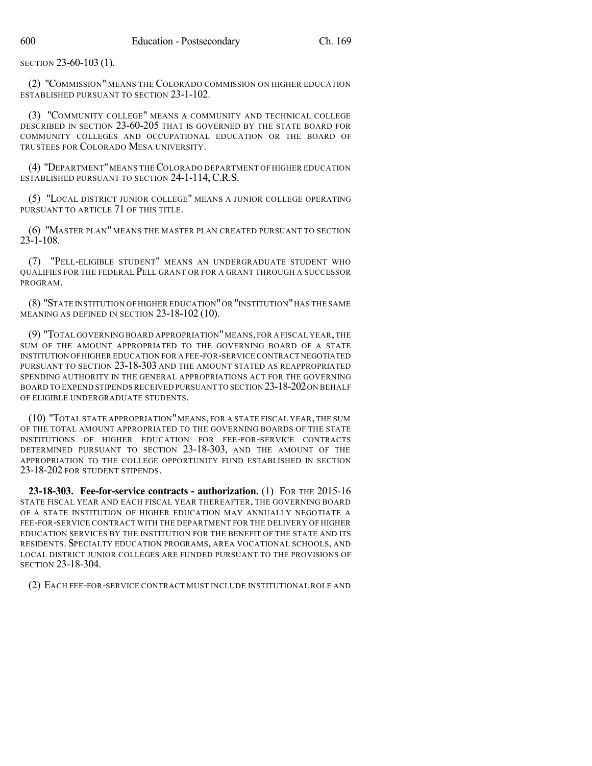SECTION 23-60-103 (1).

(2) "COMMISSION" MEANS THE COLORADO COMMISSION ON HIGHER EDUCATION ESTABLISHED PURSUANT TO SECTION 23-1-102.

(3) "COMMUNITY COLLEGE" MEANS A COMMUNITY AND TECHNICAL COLLEGE DESCRIBED IN SECTION 23-60-205 THAT IS GOVERNED BY THE STATE BOARD FOR COMMUNITY COLLEGES AND OCCUPATIONAL EDUCATION OR THE BOARD OF TRUSTEES FOR COLORADO MESA UNIVERSITY.

(4) "DEPARTMENT"MEANS THECOLORADO DEPARTMENT OF HIGHER EDUCATION ESTABLISHED PURSUANT TO SECTION 24-1-114, C.R.S.

(5) "LOCAL DISTRICT JUNIOR COLLEGE" MEANS A JUNIOR COLLEGE OPERATING PURSUANT TO ARTICLE 71 OF THIS TITLE.

(6) "MASTER PLAN" MEANS THE MASTER PLAN CREATED PURSUANT TO SECTION  $23 - 1 - 108$ .

(7) "PELL-ELIGIBLE STUDENT" MEANS AN UNDERGRADUATE STUDENT WHO QUALIFIES FOR THE FEDERAL PELL GRANT OR FOR A GRANT THROUGH A SUCCESSOR PROGRAM.

(8) "STATE INSTITUTION OF HIGHER EDUCATION"OR "INSTITUTION"HAS THE SAME MEANING AS DEFINED IN SECTION 23-18-102 (10).

(9) "TOTAL GOVERNING BOARD APPROPRIATION"MEANS,FOR A FISCAL YEAR,THE SUM OF THE AMOUNT APPROPRIATED TO THE GOVERNING BOARD OF A STATE INSTITUTION OFHIGHER EDUCATION FOR A FEE-FOR-SERVICE CONTRACT NEGOTIATED PURSUANT TO SECTION 23-18-303 AND THE AMOUNT STATED AS REAPPROPRIATED SPENDING AUTHORITY IN THE GENERAL APPROPRIATIONS ACT FOR THE GOVERNING BOARD TO EXPEND STIPENDS RECEIVED PURSUANT TO SECTION 23-18-202 ON BEHALF OF ELIGIBLE UNDERGRADUATE STUDENTS.

(10) "TOTAL STATE APPROPRIATION"MEANS, FOR A STATE FISCAL YEAR, THE SUM OF THE TOTAL AMOUNT APPROPRIATED TO THE GOVERNING BOARDS OF THE STATE INSTITUTIONS OF HIGHER EDUCATION FOR FEE-FOR-SERVICE CONTRACTS DETERMINED PURSUANT TO SECTION 23-18-303, AND THE AMOUNT OF THE APPROPRIATION TO THE COLLEGE OPPORTUNITY FUND ESTABLISHED IN SECTION 23-18-202 FOR STUDENT STIPENDS.

**23-18-303. Fee-for-service contracts - authorization.** (1) FOR THE 2015-16 STATE FISCAL YEAR AND EACH FISCAL YEAR THEREAFTER, THE GOVERNING BOARD OF A STATE INSTITUTION OF HIGHER EDUCATION MAY ANNUALLY NEGOTIATE A FEE-FOR-SERVICE CONTRACT WITH THE DEPARTMENT FOR THE DELIVERY OF HIGHER EDUCATION SERVICES BY THE INSTITUTION FOR THE BENEFIT OF THE STATE AND ITS RESIDENTS. SPECIALTY EDUCATION PROGRAMS, AREA VOCATIONAL SCHOOLS, AND LOCAL DISTRICT JUNIOR COLLEGES ARE FUNDED PURSUANT TO THE PROVISIONS OF SECTION 23-18-304.

(2) EACH FEE-FOR-SERVICE CONTRACT MUST INCLUDE INSTITUTIONAL ROLE AND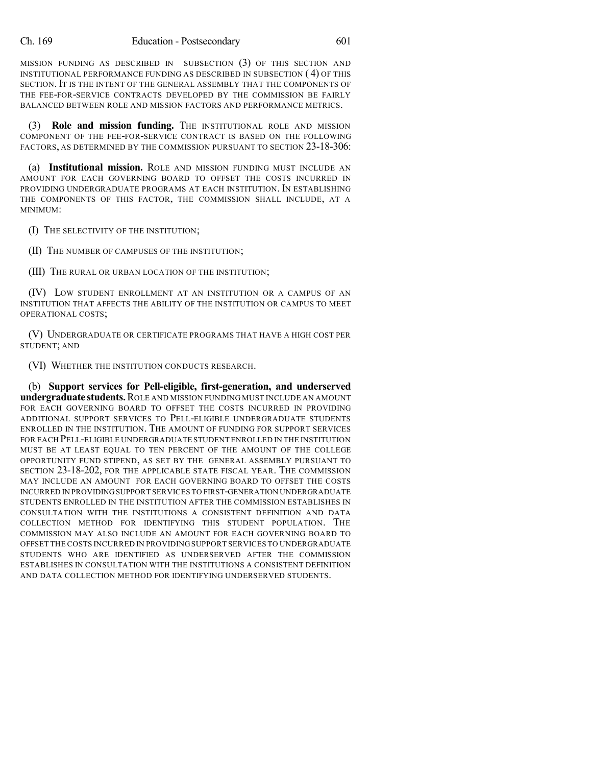MISSION FUNDING AS DESCRIBED IN SUBSECTION (3) OF THIS SECTION AND INSTITUTIONAL PERFORMANCE FUNDING AS DESCRIBED IN SUBSECTION ( 4) OF THIS SECTION. IT IS THE INTENT OF THE GENERAL ASSEMBLY THAT THE COMPONENTS OF THE FEE-FOR-SERVICE CONTRACTS DEVELOPED BY THE COMMISSION BE FAIRLY BALANCED BETWEEN ROLE AND MISSION FACTORS AND PERFORMANCE METRICS.

(3) **Role and mission funding.** THE INSTITUTIONAL ROLE AND MISSION COMPONENT OF THE FEE-FOR-SERVICE CONTRACT IS BASED ON THE FOLLOWING FACTORS, AS DETERMINED BY THE COMMISSION PURSUANT TO SECTION 23-18-306:

(a) **Institutional mission.** ROLE AND MISSION FUNDING MUST INCLUDE AN AMOUNT FOR EACH GOVERNING BOARD TO OFFSET THE COSTS INCURRED IN PROVIDING UNDERGRADUATE PROGRAMS AT EACH INSTITUTION. IN ESTABLISHING THE COMPONENTS OF THIS FACTOR, THE COMMISSION SHALL INCLUDE, AT A MINIMUM:

(I) THE SELECTIVITY OF THE INSTITUTION;

(II) THE NUMBER OF CAMPUSES OF THE INSTITUTION;

(III) THE RURAL OR URBAN LOCATION OF THE INSTITUTION;

(IV) LOW STUDENT ENROLLMENT AT AN INSTITUTION OR A CAMPUS OF AN INSTITUTION THAT AFFECTS THE ABILITY OF THE INSTITUTION OR CAMPUS TO MEET OPERATIONAL COSTS;

(V) UNDERGRADUATE OR CERTIFICATE PROGRAMS THAT HAVE A HIGH COST PER STUDENT; AND

(VI) WHETHER THE INSTITUTION CONDUCTS RESEARCH.

(b) **Support services for Pell-eligible, first-generation, and underserved undergraduate students.**ROLE AND MISSION FUNDING MUST INCLUDE AN AMOUNT FOR EACH GOVERNING BOARD TO OFFSET THE COSTS INCURRED IN PROVIDING ADDITIONAL SUPPORT SERVICES TO PELL-ELIGIBLE UNDERGRADUATE STUDENTS ENROLLED IN THE INSTITUTION. THE AMOUNT OF FUNDING FOR SUPPORT SERVICES FOR EACH PELL-ELIGIBLE UNDERGRADUATE STUDENT ENROLLED IN THE INSTITUTION MUST BE AT LEAST EQUAL TO TEN PERCENT OF THE AMOUNT OF THE COLLEGE OPPORTUNITY FUND STIPEND, AS SET BY THE GENERAL ASSEMBLY PURSUANT TO SECTION 23-18-202, FOR THE APPLICABLE STATE FISCAL YEAR. THE COMMISSION MAY INCLUDE AN AMOUNT FOR EACH GOVERNING BOARD TO OFFSET THE COSTS INCURRED IN PROVIDINGSUPPORT SERVICES TO FIRST-GENERATION UNDERGRADUATE STUDENTS ENROLLED IN THE INSTITUTION AFTER THE COMMISSION ESTABLISHES IN CONSULTATION WITH THE INSTITUTIONS A CONSISTENT DEFINITION AND DATA COLLECTION METHOD FOR IDENTIFYING THIS STUDENT POPULATION. THE COMMISSION MAY ALSO INCLUDE AN AMOUNT FOR EACH GOVERNING BOARD TO OFFSET THE COSTS INCURRED IN PROVIDING SUPPORT SERVICES TO UNDERGRADUATE STUDENTS WHO ARE IDENTIFIED AS UNDERSERVED AFTER THE COMMISSION ESTABLISHES IN CONSULTATION WITH THE INSTITUTIONS A CONSISTENT DEFINITION AND DATA COLLECTION METHOD FOR IDENTIFYING UNDERSERVED STUDENTS.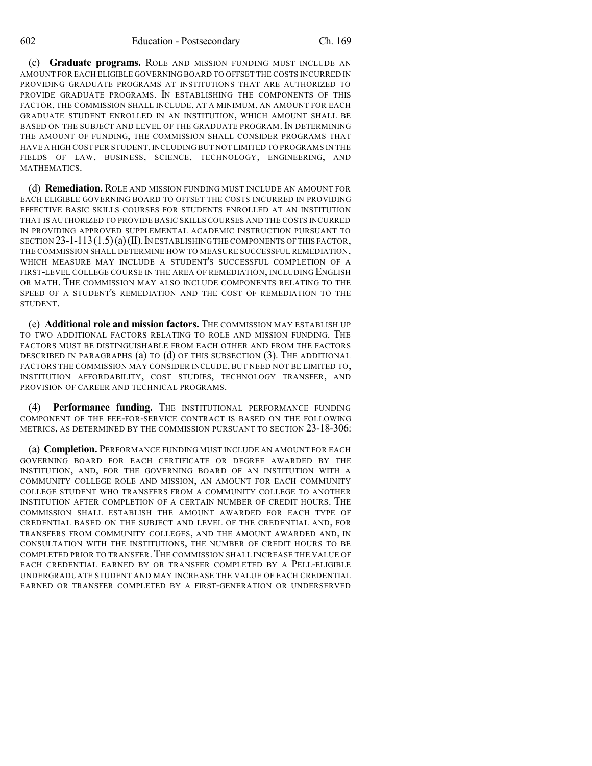(c) **Graduate programs.** ROLE AND MISSION FUNDING MUST INCLUDE AN AMOUNT FOR EACH ELIGIBLE GOVERNING BOARD TO OFFSET THE COSTS INCURRED IN PROVIDING GRADUATE PROGRAMS AT INSTITUTIONS THAT ARE AUTHORIZED TO PROVIDE GRADUATE PROGRAMS. IN ESTABLISHING THE COMPONENTS OF THIS FACTOR, THE COMMISSION SHALL INCLUDE, AT A MINIMUM, AN AMOUNT FOR EACH GRADUATE STUDENT ENROLLED IN AN INSTITUTION, WHICH AMOUNT SHALL BE BASED ON THE SUBJECT AND LEVEL OF THE GRADUATE PROGRAM. IN DETERMINING THE AMOUNT OF FUNDING, THE COMMISSION SHALL CONSIDER PROGRAMS THAT HAVE A HIGH COST PER STUDENT, INCLUDING BUT NOT LIMITED TO PROGRAMS IN THE FIELDS OF LAW, BUSINESS, SCIENCE, TECHNOLOGY, ENGINEERING, AND **MATHEMATICS** 

(d) **Remediation.** ROLE AND MISSION FUNDING MUST INCLUDE AN AMOUNT FOR EACH ELIGIBLE GOVERNING BOARD TO OFFSET THE COSTS INCURRED IN PROVIDING EFFECTIVE BASIC SKILLS COURSES FOR STUDENTS ENROLLED AT AN INSTITUTION THAT IS AUTHORIZED TO PROVIDE BASIC SKILLS COURSES AND THE COSTS INCURRED IN PROVIDING APPROVED SUPPLEMENTAL ACADEMIC INSTRUCTION PURSUANT TO SECTION 23-1-113(1.5)(a)(II).IN ESTABLISHING THE COMPONENTS OFTHIS FACTOR, THE COMMISSION SHALL DETERMINE HOW TO MEASURE SUCCESSFUL REMEDIATION, WHICH MEASURE MAY INCLUDE A STUDENT'S SUCCESSFUL COMPLETION OF A FIRST-LEVEL COLLEGE COURSE IN THE AREA OF REMEDIATION, INCLUDING ENGLISH OR MATH. THE COMMISSION MAY ALSO INCLUDE COMPONENTS RELATING TO THE SPEED OF A STUDENT'S REMEDIATION AND THE COST OF REMEDIATION TO THE STUDENT.

(e) **Additional role and mission factors.** THE COMMISSION MAY ESTABLISH UP TO TWO ADDITIONAL FACTORS RELATING TO ROLE AND MISSION FUNDING. THE FACTORS MUST BE DISTINGUISHABLE FROM EACH OTHER AND FROM THE FACTORS DESCRIBED IN PARAGRAPHS (a) TO (d) OF THIS SUBSECTION (3). THE ADDITIONAL FACTORS THE COMMISSION MAY CONSIDER INCLUDE, BUT NEED NOT BE LIMITED TO, INSTITUTION AFFORDABILITY, COST STUDIES, TECHNOLOGY TRANSFER, AND PROVISION OF CAREER AND TECHNICAL PROGRAMS.

(4) **Performance funding.** THE INSTITUTIONAL PERFORMANCE FUNDING COMPONENT OF THE FEE-FOR-SERVICE CONTRACT IS BASED ON THE FOLLOWING METRICS, AS DETERMINED BY THE COMMISSION PURSUANT TO SECTION 23-18-306:

(a) **Completion.** PERFORMANCE FUNDING MUST INCLUDE AN AMOUNT FOR EACH GOVERNING BOARD FOR EACH CERTIFICATE OR DEGREE AWARDED BY THE INSTITUTION, AND, FOR THE GOVERNING BOARD OF AN INSTITUTION WITH A COMMUNITY COLLEGE ROLE AND MISSION, AN AMOUNT FOR EACH COMMUNITY COLLEGE STUDENT WHO TRANSFERS FROM A COMMUNITY COLLEGE TO ANOTHER INSTITUTION AFTER COMPLETION OF A CERTAIN NUMBER OF CREDIT HOURS. THE COMMISSION SHALL ESTABLISH THE AMOUNT AWARDED FOR EACH TYPE OF CREDENTIAL BASED ON THE SUBJECT AND LEVEL OF THE CREDENTIAL AND, FOR TRANSFERS FROM COMMUNITY COLLEGES, AND THE AMOUNT AWARDED AND, IN CONSULTATION WITH THE INSTITUTIONS, THE NUMBER OF CREDIT HOURS TO BE COMPLETED PRIOR TO TRANSFER.THE COMMISSION SHALL INCREASE THE VALUE OF EACH CREDENTIAL EARNED BY OR TRANSFER COMPLETED BY A PELL-ELIGIBLE UNDERGRADUATE STUDENT AND MAY INCREASE THE VALUE OF EACH CREDENTIAL EARNED OR TRANSFER COMPLETED BY A FIRST-GENERATION OR UNDERSERVED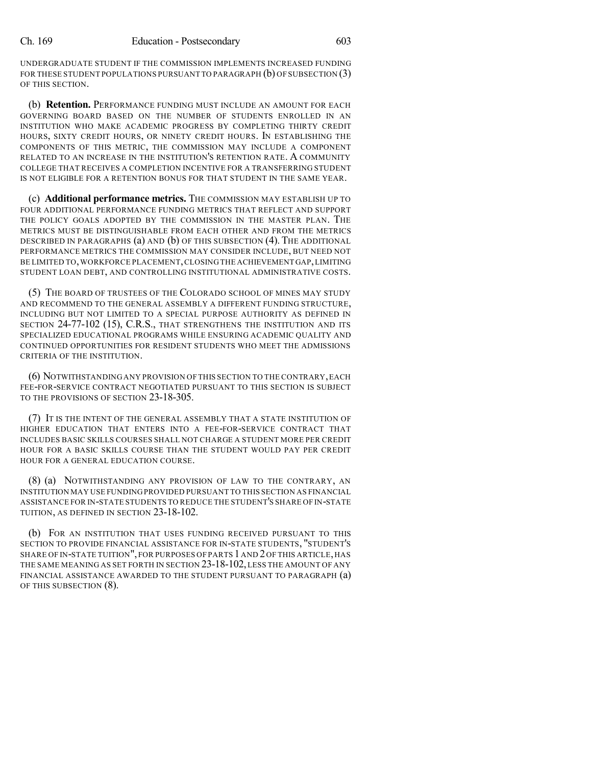UNDERGRADUATE STUDENT IF THE COMMISSION IMPLEMENTS INCREASED FUNDING FOR THESE STUDENT POPULATIONS PURSUANT TO PARAGRAPH (b) OF SUBSECTION (3) OF THIS SECTION.

(b) **Retention.** PERFORMANCE FUNDING MUST INCLUDE AN AMOUNT FOR EACH GOVERNING BOARD BASED ON THE NUMBER OF STUDENTS ENROLLED IN AN INSTITUTION WHO MAKE ACADEMIC PROGRESS BY COMPLETING THIRTY CREDIT HOURS, SIXTY CREDIT HOURS, OR NINETY CREDIT HOURS. IN ESTABLISHING THE COMPONENTS OF THIS METRIC, THE COMMISSION MAY INCLUDE A COMPONENT RELATED TO AN INCREASE IN THE INSTITUTION'S RETENTION RATE. A COMMUNITY COLLEGE THAT RECEIVES A COMPLETION INCENTIVE FOR A TRANSFERRING STUDENT IS NOT ELIGIBLE FOR A RETENTION BONUS FOR THAT STUDENT IN THE SAME YEAR.

(c) **Additional performance metrics.** THE COMMISSION MAY ESTABLISH UP TO FOUR ADDITIONAL PERFORMANCE FUNDING METRICS THAT REFLECT AND SUPPORT THE POLICY GOALS ADOPTED BY THE COMMISSION IN THE MASTER PLAN. THE METRICS MUST BE DISTINGUISHABLE FROM EACH OTHER AND FROM THE METRICS DESCRIBED IN PARAGRAPHS (a) AND (b) OF THIS SUBSECTION (4). THE ADDITIONAL PERFORMANCE METRICS THE COMMISSION MAY CONSIDER INCLUDE, BUT NEED NOT BE LIMITED TO,WORKFORCE PLACEMENT,CLOSING THE ACHIEVEMENT GAP,LIMITING STUDENT LOAN DEBT, AND CONTROLLING INSTITUTIONAL ADMINISTRATIVE COSTS.

(5) THE BOARD OF TRUSTEES OF THE COLORADO SCHOOL OF MINES MAY STUDY AND RECOMMEND TO THE GENERAL ASSEMBLY A DIFFERENT FUNDING STRUCTURE, INCLUDING BUT NOT LIMITED TO A SPECIAL PURPOSE AUTHORITY AS DEFINED IN SECTION 24-77-102 (15), C.R.S., THAT STRENGTHENS THE INSTITUTION AND ITS SPECIALIZED EDUCATIONAL PROGRAMS WHILE ENSURING ACADEMIC QUALITY AND CONTINUED OPPORTUNITIES FOR RESIDENT STUDENTS WHO MEET THE ADMISSIONS CRITERIA OF THE INSTITUTION.

(6) NOTWITHSTANDING ANY PROVISION OF THIS SECTION TO THE CONTRARY,EACH FEE-FOR-SERVICE CONTRACT NEGOTIATED PURSUANT TO THIS SECTION IS SUBJECT TO THE PROVISIONS OF SECTION 23-18-305.

(7) IT IS THE INTENT OF THE GENERAL ASSEMBLY THAT A STATE INSTITUTION OF HIGHER EDUCATION THAT ENTERS INTO A FEE-FOR-SERVICE CONTRACT THAT INCLUDES BASIC SKILLS COURSES SHALL NOT CHARGE A STUDENT MORE PER CREDIT HOUR FOR A BASIC SKILLS COURSE THAN THE STUDENT WOULD PAY PER CREDIT HOUR FOR A GENERAL EDUCATION COURSE.

(8) (a) NOTWITHSTANDING ANY PROVISION OF LAW TO THE CONTRARY, AN INSTITUTION MAY USE FUNDINGPROVIDED PURSUANT TO THIS SECTION AS FINANCIAL ASSISTANCE FOR IN-STATE STUDENTS TO REDUCE THE STUDENT'S SHARE OF IN-STATE TUITION, AS DEFINED IN SECTION 23-18-102.

(b) FOR AN INSTITUTION THAT USES FUNDING RECEIVED PURSUANT TO THIS SECTION TO PROVIDE FINANCIAL ASSISTANCE FOR IN-STATE STUDENTS, "STUDENT'S SHARE OF IN-STATE TUITION", FOR PURPOSES OF PARTS 1AND 2OF THIS ARTICLE, HAS THE SAME MEANING AS SET FORTH IN SECTION 23-18-102, LESS THE AMOUNT OF ANY FINANCIAL ASSISTANCE AWARDED TO THE STUDENT PURSUANT TO PARAGRAPH (a) OF THIS SUBSECTION (8).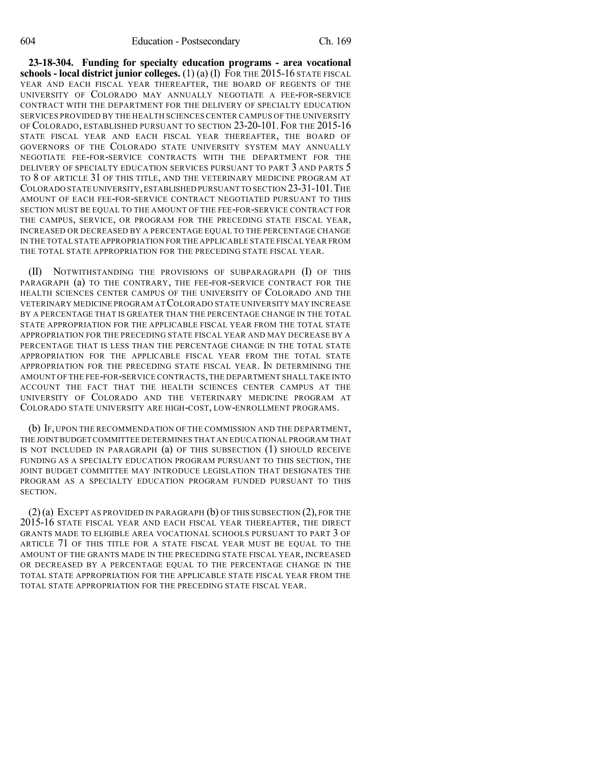**23-18-304. Funding for specialty education programs - area vocational schools - local district junior colleges.** (1) (a) (I) FOR THE 2015-16 STATE FISCAL YEAR AND EACH FISCAL YEAR THEREAFTER, THE BOARD OF REGENTS OF THE UNIVERSITY OF COLORADO MAY ANNUALLY NEGOTIATE A FEE-FOR-SERVICE CONTRACT WITH THE DEPARTMENT FOR THE DELIVERY OF SPECIALTY EDUCATION SERVICES PROVIDED BY THE HEALTH SCIENCES CENTER CAMPUS OF THE UNIVERSITY OF COLORADO, ESTABLISHED PURSUANT TO SECTION 23-20-101. FOR THE 2015-16 STATE FISCAL YEAR AND EACH FISCAL YEAR THEREAFTER, THE BOARD OF GOVERNORS OF THE COLORADO STATE UNIVERSITY SYSTEM MAY ANNUALLY NEGOTIATE FEE-FOR-SERVICE CONTRACTS WITH THE DEPARTMENT FOR THE DELIVERY OF SPECIALTY EDUCATION SERVICES PURSUANT TO PART 3 AND PARTS 5 TO 8 OF ARTICLE 31 OF THIS TITLE, AND THE VETERINARY MEDICINE PROGRAM AT COLORADO STATE UNIVERSITY,ESTABLISHED PURSUANT TO SECTION 23-31-101.THE AMOUNT OF EACH FEE-FOR-SERVICE CONTRACT NEGOTIATED PURSUANT TO THIS SECTION MUST BE EQUAL TO THE AMOUNT OF THE FEE-FOR-SERVICE CONTRACT FOR THE CAMPUS, SERVICE, OR PROGRAM FOR THE PRECEDING STATE FISCAL YEAR, INCREASED OR DECREASED BY A PERCENTAGE EQUAL TO THE PERCENTAGE CHANGE IN THE TOTAL STATE APPROPRIATION FOR THE APPLICABLE STATE FISCAL YEAR FROM THE TOTAL STATE APPROPRIATION FOR THE PRECEDING STATE FISCAL YEAR.

(II) NOTWITHSTANDING THE PROVISIONS OF SUBPARAGRAPH (I) OF THIS PARAGRAPH (a) TO THE CONTRARY, THE FEE-FOR-SERVICE CONTRACT FOR THE HEALTH SCIENCES CENTER CAMPUS OF THE UNIVERSITY OF COLORADO AND THE VETERINARY MEDICINE PROGRAM ATCOLORADO STATE UNIVERSITY MAY INCREASE BY A PERCENTAGE THAT IS GREATER THAN THE PERCENTAGE CHANGE IN THE TOTAL STATE APPROPRIATION FOR THE APPLICABLE FISCAL YEAR FROM THE TOTAL STATE APPROPRIATION FOR THE PRECEDING STATE FISCAL YEAR AND MAY DECREASE BY A PERCENTAGE THAT IS LESS THAN THE PERCENTAGE CHANGE IN THE TOTAL STATE APPROPRIATION FOR THE APPLICABLE FISCAL YEAR FROM THE TOTAL STATE APPROPRIATION FOR THE PRECEDING STATE FISCAL YEAR. IN DETERMINING THE AMOUNT OF THE FEE-FOR-SERVICE CONTRACTS,THE DEPARTMENT SHALL TAKE INTO ACCOUNT THE FACT THAT THE HEALTH SCIENCES CENTER CAMPUS AT THE UNIVERSITY OF COLORADO AND THE VETERINARY MEDICINE PROGRAM AT COLORADO STATE UNIVERSITY ARE HIGH-COST, LOW-ENROLLMENT PROGRAMS.

(b) IF, UPON THE RECOMMENDATION OF THE COMMISSION AND THE DEPARTMENT, THE JOINT BUDGET COMMITTEE DETERMINES THAT AN EDUCATIONAL PROGRAM THAT IS NOT INCLUDED IN PARAGRAPH (a) OF THIS SUBSECTION (1) SHOULD RECEIVE FUNDING AS A SPECIALTY EDUCATION PROGRAM PURSUANT TO THIS SECTION, THE JOINT BUDGET COMMITTEE MAY INTRODUCE LEGISLATION THAT DESIGNATES THE PROGRAM AS A SPECIALTY EDUCATION PROGRAM FUNDED PURSUANT TO THIS SECTION.

 $(2)$ (a) EXCEPT AS PROVIDED IN PARAGRAPH (b) OF THIS SUBSECTION  $(2)$ , FOR THE 2015-16 STATE FISCAL YEAR AND EACH FISCAL YEAR THEREAFTER, THE DIRECT GRANTS MADE TO ELIGIBLE AREA VOCATIONAL SCHOOLS PURSUANT TO PART 3 OF ARTICLE 71 OF THIS TITLE FOR A STATE FISCAL YEAR MUST BE EQUAL TO THE AMOUNT OF THE GRANTS MADE IN THE PRECEDING STATE FISCAL YEAR, INCREASED OR DECREASED BY A PERCENTAGE EQUAL TO THE PERCENTAGE CHANGE IN THE TOTAL STATE APPROPRIATION FOR THE APPLICABLE STATE FISCAL YEAR FROM THE TOTAL STATE APPROPRIATION FOR THE PRECEDING STATE FISCAL YEAR.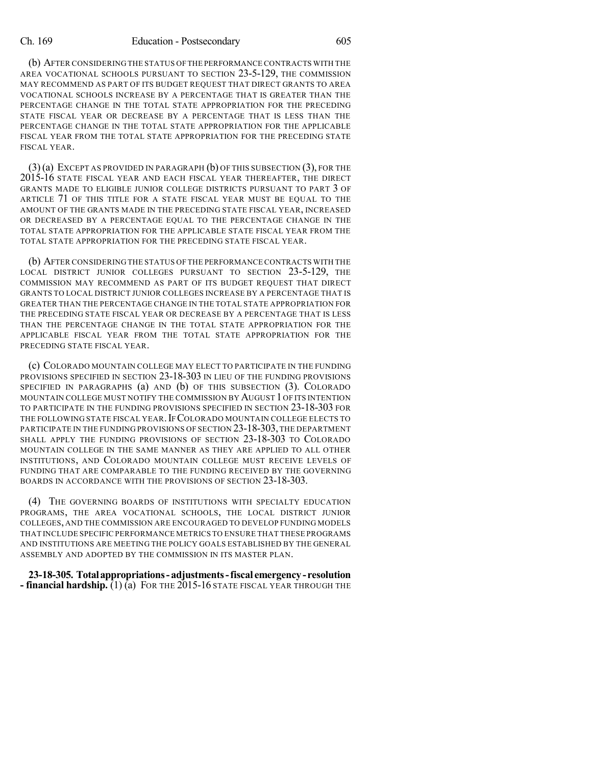#### Ch. 169 Education - Postsecondary 605

(b) AFTER CONSIDERING THE STATUS OFTHE PERFORMANCE CONTRACTS WITH THE AREA VOCATIONAL SCHOOLS PURSUANT TO SECTION 23-5-129, THE COMMISSION MAY RECOMMEND AS PART OF ITS BUDGET REQUEST THAT DIRECT GRANTS TO AREA VOCATIONAL SCHOOLS INCREASE BY A PERCENTAGE THAT IS GREATER THAN THE PERCENTAGE CHANGE IN THE TOTAL STATE APPROPRIATION FOR THE PRECEDING STATE FISCAL YEAR OR DECREASE BY A PERCENTAGE THAT IS LESS THAN THE PERCENTAGE CHANGE IN THE TOTAL STATE APPROPRIATION FOR THE APPLICABLE FISCAL YEAR FROM THE TOTAL STATE APPROPRIATION FOR THE PRECEDING STATE FISCAL YEAR.

(3)(a) EXCEPT AS PROVIDED IN PARAGRAPH (b) OF THIS SUBSECTION (3), FOR THE 2015-16 STATE FISCAL YEAR AND EACH FISCAL YEAR THEREAFTER, THE DIRECT GRANTS MADE TO ELIGIBLE JUNIOR COLLEGE DISTRICTS PURSUANT TO PART 3 OF ARTICLE 71 OF THIS TITLE FOR A STATE FISCAL YEAR MUST BE EQUAL TO THE AMOUNT OF THE GRANTS MADE IN THE PRECEDING STATE FISCAL YEAR, INCREASED OR DECREASED BY A PERCENTAGE EQUAL TO THE PERCENTAGE CHANGE IN THE TOTAL STATE APPROPRIATION FOR THE APPLICABLE STATE FISCAL YEAR FROM THE TOTAL STATE APPROPRIATION FOR THE PRECEDING STATE FISCAL YEAR.

(b) AFTER CONSIDERING THE STATUS OF THE PERFORMANCE CONTRACTS WITH THE LOCAL DISTRICT JUNIOR COLLEGES PURSUANT TO SECTION 23-5-129, THE COMMISSION MAY RECOMMEND AS PART OF ITS BUDGET REQUEST THAT DIRECT GRANTS TO LOCAL DISTRICT JUNIOR COLLEGES INCREASE BY A PERCENTAGE THAT IS GREATER THAN THE PERCENTAGE CHANGE IN THE TOTAL STATE APPROPRIATION FOR THE PRECEDING STATE FISCAL YEAR OR DECREASE BY A PERCENTAGE THAT IS LESS THAN THE PERCENTAGE CHANGE IN THE TOTAL STATE APPROPRIATION FOR THE APPLICABLE FISCAL YEAR FROM THE TOTAL STATE APPROPRIATION FOR THE PRECEDING STATE FISCAL YEAR.

(c) COLORADO MOUNTAIN COLLEGE MAY ELECT TO PARTICIPATE IN THE FUNDING PROVISIONS SPECIFIED IN SECTION 23-18-303 IN LIEU OF THE FUNDING PROVISIONS SPECIFIED IN PARAGRAPHS (a) AND (b) OF THIS SUBSECTION (3). COLORADO MOUNTAIN COLLEGE MUST NOTIFY THE COMMISSION BY AUGUST 1OF ITS INTENTION TO PARTICIPATE IN THE FUNDING PROVISIONS SPECIFIED IN SECTION 23-18-303 FOR THE FOLLOWING STATE FISCAL YEAR.IF COLORADO MOUNTAIN COLLEGE ELECTS TO PARTICIPATE IN THE FUNDING PROVISIONS OF SECTION 23-18-303, THE DEPARTMENT SHALL APPLY THE FUNDING PROVISIONS OF SECTION 23-18-303 TO COLORADO MOUNTAIN COLLEGE IN THE SAME MANNER AS THEY ARE APPLIED TO ALL OTHER INSTITUTIONS, AND COLORADO MOUNTAIN COLLEGE MUST RECEIVE LEVELS OF FUNDING THAT ARE COMPARABLE TO THE FUNDING RECEIVED BY THE GOVERNING BOARDS IN ACCORDANCE WITH THE PROVISIONS OF SECTION 23-18-303.

(4) THE GOVERNING BOARDS OF INSTITUTIONS WITH SPECIALTY EDUCATION PROGRAMS, THE AREA VOCATIONAL SCHOOLS, THE LOCAL DISTRICT JUNIOR COLLEGES, AND THE COMMISSION ARE ENCOURAGED TO DEVELOP FUNDING MODELS THAT INCLUDE SPECIFIC PERFORMANCE METRICS TO ENSURE THAT THESE PROGRAMS AND INSTITUTIONS ARE MEETING THE POLICY GOALS ESTABLISHED BY THE GENERAL ASSEMBLY AND ADOPTED BY THE COMMISSION IN ITS MASTER PLAN.

**23-18-305. Totalappropriations- adjustments-fiscal emergency- resolution - financial hardship.** (1) (a) FOR THE 2015-16 STATE FISCAL YEAR THROUGH THE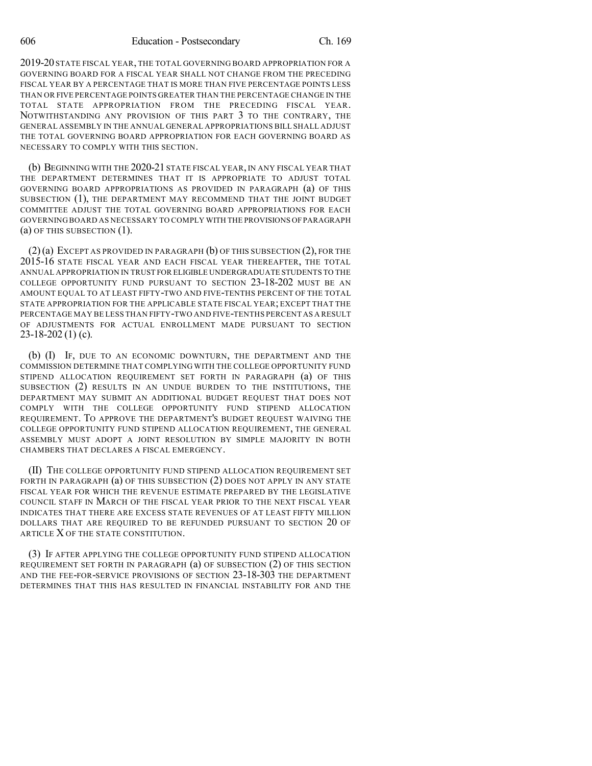2019-20 STATE FISCAL YEAR, THE TOTAL GOVERNING BOARD APPROPRIATION FOR A GOVERNING BOARD FOR A FISCAL YEAR SHALL NOT CHANGE FROM THE PRECEDING FISCAL YEAR BY A PERCENTAGE THAT IS MORE THAN FIVE PERCENTAGE POINTS LESS THAN OR FIVE PERCENTAGE POINTS GREATER THAN THE PERCENTAGE CHANGE IN THE TOTAL STATE APPROPRIATION FROM THE PRECEDING FISCAL YEAR. NOTWITHSTANDING ANY PROVISION OF THIS PART 3 TO THE CONTRARY, THE GENERAL ASSEMBLY IN THE ANNUAL GENERAL APPROPRIATIONS BILL SHALL ADJUST THE TOTAL GOVERNING BOARD APPROPRIATION FOR EACH GOVERNING BOARD AS NECESSARY TO COMPLY WITH THIS SECTION.

(b) BEGINNING WITH THE 2020-21 STATE FISCAL YEAR, IN ANY FISCAL YEAR THAT THE DEPARTMENT DETERMINES THAT IT IS APPROPRIATE TO ADJUST TOTAL GOVERNING BOARD APPROPRIATIONS AS PROVIDED IN PARAGRAPH (a) OF THIS SUBSECTION (1), THE DEPARTMENT MAY RECOMMEND THAT THE JOINT BUDGET COMMITTEE ADJUST THE TOTAL GOVERNING BOARD APPROPRIATIONS FOR EACH GOVERNING BOARD AS NECESSARY TO COMPLY WITH THE PROVISIONS OFPARAGRAPH (a) OF THIS SUBSECTION (1).

(2)(a) EXCEPT AS PROVIDED IN PARAGRAPH (b) OF THIS SUBSECTION (2), FOR THE 2015-16 STATE FISCAL YEAR AND EACH FISCAL YEAR THEREAFTER, THE TOTAL ANNUAL APPROPRIATION IN TRUST FOR ELIGIBLE UNDERGRADUATE STUDENTS TO THE COLLEGE OPPORTUNITY FUND PURSUANT TO SECTION 23-18-202 MUST BE AN AMOUNT EQUAL TO AT LEAST FIFTY-TWO AND FIVE-TENTHS PERCENT OF THE TOTAL STATE APPROPRIATION FOR THE APPLICABLE STATE FISCAL YEAR; EXCEPT THAT THE PERCENTAGE MAY BE LESS THAN FIFTY-TWO AND FIVE-TENTHS PERCENT AS A RESULT OF ADJUSTMENTS FOR ACTUAL ENROLLMENT MADE PURSUANT TO SECTION 23-18-202 (1) (c).

(b) (I) IF, DUE TO AN ECONOMIC DOWNTURN, THE DEPARTMENT AND THE COMMISSION DETERMINE THAT COMPLYING WITH THE COLLEGE OPPORTUNITY FUND STIPEND ALLOCATION REQUIREMENT SET FORTH IN PARAGRAPH (a) OF THIS SUBSECTION (2) RESULTS IN AN UNDUE BURDEN TO THE INSTITUTIONS, THE DEPARTMENT MAY SUBMIT AN ADDITIONAL BUDGET REQUEST THAT DOES NOT COMPLY WITH THE COLLEGE OPPORTUNITY FUND STIPEND ALLOCATION REQUIREMENT. TO APPROVE THE DEPARTMENT'S BUDGET REQUEST WAIVING THE COLLEGE OPPORTUNITY FUND STIPEND ALLOCATION REQUIREMENT, THE GENERAL ASSEMBLY MUST ADOPT A JOINT RESOLUTION BY SIMPLE MAJORITY IN BOTH CHAMBERS THAT DECLARES A FISCAL EMERGENCY.

(II) THE COLLEGE OPPORTUNITY FUND STIPEND ALLOCATION REQUIREMENT SET FORTH IN PARAGRAPH (a) OF THIS SUBSECTION (2) DOES NOT APPLY IN ANY STATE FISCAL YEAR FOR WHICH THE REVENUE ESTIMATE PREPARED BY THE LEGISLATIVE COUNCIL STAFF IN MARCH OF THE FISCAL YEAR PRIOR TO THE NEXT FISCAL YEAR INDICATES THAT THERE ARE EXCESS STATE REVENUES OF AT LEAST FIFTY MILLION DOLLARS THAT ARE REQUIRED TO BE REFUNDED PURSUANT TO SECTION 20 OF ARTICLE X OF THE STATE CONSTITUTION.

(3) IF AFTER APPLYING THE COLLEGE OPPORTUNITY FUND STIPEND ALLOCATION REQUIREMENT SET FORTH IN PARAGRAPH (a) OF SUBSECTION (2) OF THIS SECTION AND THE FEE-FOR-SERVICE PROVISIONS OF SECTION 23-18-303 THE DEPARTMENT DETERMINES THAT THIS HAS RESULTED IN FINANCIAL INSTABILITY FOR AND THE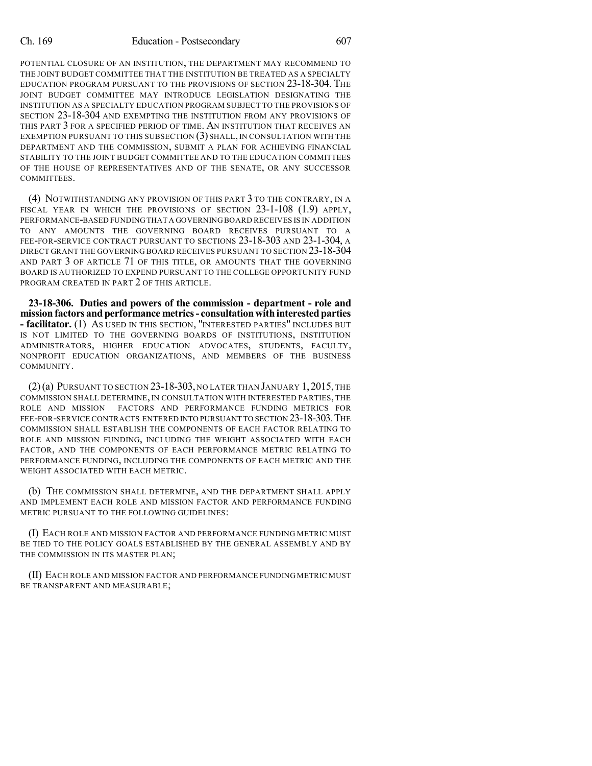POTENTIAL CLOSURE OF AN INSTITUTION, THE DEPARTMENT MAY RECOMMEND TO THE JOINT BUDGET COMMITTEE THAT THE INSTITUTION BE TREATED AS A SPECIALTY EDUCATION PROGRAM PURSUANT TO THE PROVISIONS OF SECTION 23-18-304. THE JOINT BUDGET COMMITTEE MAY INTRODUCE LEGISLATION DESIGNATING THE INSTITUTION AS A SPECIALTY EDUCATION PROGRAM SUBJECT TO THE PROVISIONS OF SECTION 23-18-304 AND EXEMPTING THE INSTITUTION FROM ANY PROVISIONS OF THIS PART 3 FOR A SPECIFIED PERIOD OF TIME. AN INSTITUTION THAT RECEIVES AN EXEMPTION PURSUANT TO THIS SUBSECTION (3) SHALL, IN CONSULTATION WITH THE DEPARTMENT AND THE COMMISSION, SUBMIT A PLAN FOR ACHIEVING FINANCIAL STABILITY TO THE JOINT BUDGET COMMITTEE AND TO THE EDUCATION COMMITTEES OF THE HOUSE OF REPRESENTATIVES AND OF THE SENATE, OR ANY SUCCESSOR COMMITTEES.

(4) NOTWITHSTANDING ANY PROVISION OF THIS PART 3 TO THE CONTRARY, IN A FISCAL YEAR IN WHICH THE PROVISIONS OF SECTION 23-1-108 (1.9) APPLY, PERFORMANCE-BASED FUNDINGTHAT A GOVERNINGBOARD RECEIVES IS IN ADDITION TO ANY AMOUNTS THE GOVERNING BOARD RECEIVES PURSUANT TO A FEE-FOR-SERVICE CONTRACT PURSUANT TO SECTIONS 23-18-303 AND 23-1-304, A DIRECT GRANT THE GOVERNING BOARD RECEIVES PURSUANT TO SECTION 23-18-304 AND PART 3 OF ARTICLE 71 OF THIS TITLE, OR AMOUNTS THAT THE GOVERNING BOARD IS AUTHORIZED TO EXPEND PURSUANT TO THE COLLEGE OPPORTUNITY FUND PROGRAM CREATED IN PART 2 OF THIS ARTICLE.

**23-18-306. Duties and powers of the commission - department - role and mission factors and performance metrics- consultationwithinterestedparties - facilitator.** (1) AS USED IN THIS SECTION, "INTERESTED PARTIES" INCLUDES BUT IS NOT LIMITED TO THE GOVERNING BOARDS OF INSTITUTIONS, INSTITUTION ADMINISTRATORS, HIGHER EDUCATION ADVOCATES, STUDENTS, FACULTY, NONPROFIT EDUCATION ORGANIZATIONS, AND MEMBERS OF THE BUSINESS COMMUNITY.

(2)(a) PURSUANT TO SECTION 23-18-303, NO LATER THAN JANUARY 1, 2015, THE COMMISSION SHALL DETERMINE, IN CONSULTATION WITH INTERESTED PARTIES, THE ROLE AND MISSION FACTORS AND PERFORMANCE FUNDING METRICS FOR FEE-FOR-SERVICE CONTRACTS ENTERED INTO PURSUANT TO SECTION 23-18-303. THE COMMISSION SHALL ESTABLISH THE COMPONENTS OF EACH FACTOR RELATING TO ROLE AND MISSION FUNDING, INCLUDING THE WEIGHT ASSOCIATED WITH EACH FACTOR, AND THE COMPONENTS OF EACH PERFORMANCE METRIC RELATING TO PERFORMANCE FUNDING, INCLUDING THE COMPONENTS OF EACH METRIC AND THE WEIGHT ASSOCIATED WITH EACH METRIC.

(b) THE COMMISSION SHALL DETERMINE, AND THE DEPARTMENT SHALL APPLY AND IMPLEMENT EACH ROLE AND MISSION FACTOR AND PERFORMANCE FUNDING METRIC PURSUANT TO THE FOLLOWING GUIDELINES:

(I) EACH ROLE AND MISSION FACTOR AND PERFORMANCE FUNDING METRIC MUST BE TIED TO THE POLICY GOALS ESTABLISHED BY THE GENERAL ASSEMBLY AND BY THE COMMISSION IN ITS MASTER PLAN;

(II) EACH ROLE AND MISSION FACTOR AND PERFORMANCE FUNDING METRIC MUST BE TRANSPARENT AND MEASURABLE;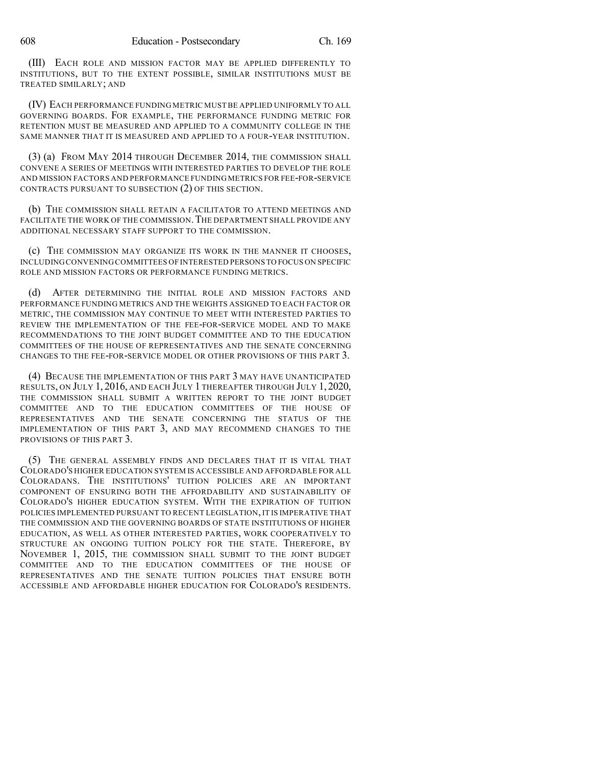(III) EACH ROLE AND MISSION FACTOR MAY BE APPLIED DIFFERENTLY TO INSTITUTIONS, BUT TO THE EXTENT POSSIBLE, SIMILAR INSTITUTIONS MUST BE TREATED SIMILARLY; AND

(IV) EACH PERFORMANCE FUNDING METRIC MUSTBE APPLIED UNIFORMLY TO ALL GOVERNING BOARDS. FOR EXAMPLE, THE PERFORMANCE FUNDING METRIC FOR RETENTION MUST BE MEASURED AND APPLIED TO A COMMUNITY COLLEGE IN THE SAME MANNER THAT IT IS MEASURED AND APPLIED TO A FOUR-YEAR INSTITUTION.

(3) (a) FROM MAY 2014 THROUGH DECEMBER 2014, THE COMMISSION SHALL CONVENE A SERIES OF MEETINGS WITH INTERESTED PARTIES TO DEVELOP THE ROLE AND MISSION FACTORS AND PERFORMANCE FUNDING METRICS FOR FEE-FOR-SERVICE CONTRACTS PURSUANT TO SUBSECTION (2) OF THIS SECTION.

(b) THE COMMISSION SHALL RETAIN A FACILITATOR TO ATTEND MEETINGS AND FACILITATE THE WORK OF THE COMMISSION. THE DEPARTMENT SHALL PROVIDE ANY ADDITIONAL NECESSARY STAFF SUPPORT TO THE COMMISSION.

(c) THE COMMISSION MAY ORGANIZE ITS WORK IN THE MANNER IT CHOOSES, INCLUDINGCONVENING COMMITTEES OF INTERESTED PERSONS TO FOCUS ON SPECIFIC ROLE AND MISSION FACTORS OR PERFORMANCE FUNDING METRICS.

(d) AFTER DETERMINING THE INITIAL ROLE AND MISSION FACTORS AND PERFORMANCE FUNDING METRICS AND THE WEIGHTS ASSIGNED TO EACH FACTOR OR METRIC, THE COMMISSION MAY CONTINUE TO MEET WITH INTERESTED PARTIES TO REVIEW THE IMPLEMENTATION OF THE FEE-FOR-SERVICE MODEL AND TO MAKE RECOMMENDATIONS TO THE JOINT BUDGET COMMITTEE AND TO THE EDUCATION COMMITTEES OF THE HOUSE OF REPRESENTATIVES AND THE SENATE CONCERNING CHANGES TO THE FEE-FOR-SERVICE MODEL OR OTHER PROVISIONS OF THIS PART 3.

(4) BECAUSE THE IMPLEMENTATION OF THIS PART 3 MAY HAVE UNANTICIPATED RESULTS, ON JULY 1, 2016, AND EACH JULY 1 THEREAFTER THROUGH JULY 1, 2020, THE COMMISSION SHALL SUBMIT A WRITTEN REPORT TO THE JOINT BUDGET COMMITTEE AND TO THE EDUCATION COMMITTEES OF THE HOUSE OF REPRESENTATIVES AND THE SENATE CONCERNING THE STATUS OF THE IMPLEMENTATION OF THIS PART 3, AND MAY RECOMMEND CHANGES TO THE PROVISIONS OF THIS PART 3.

(5) THE GENERAL ASSEMBLY FINDS AND DECLARES THAT IT IS VITAL THAT COLORADO'S HIGHER EDUCATION SYSTEM IS ACCESSIBLE AND AFFORDABLE FOR ALL COLORADANS. THE INSTITUTIONS' TUITION POLICIES ARE AN IMPORTANT COMPONENT OF ENSURING BOTH THE AFFORDABILITY AND SUSTAINABILITY OF COLORADO'S HIGHER EDUCATION SYSTEM. WITH THE EXPIRATION OF TUITION POLICIES IMPLEMENTED PURSUANT TO RECENT LEGISLATION, IT IS IMPERATIVE THAT THE COMMISSION AND THE GOVERNING BOARDS OF STATE INSTITUTIONS OF HIGHER EDUCATION, AS WELL AS OTHER INTERESTED PARTIES, WORK COOPERATIVELY TO STRUCTURE AN ONGOING TUITION POLICY FOR THE STATE. THEREFORE, BY NOVEMBER 1, 2015, THE COMMISSION SHALL SUBMIT TO THE JOINT BUDGET COMMITTEE AND TO THE EDUCATION COMMITTEES OF THE HOUSE OF REPRESENTATIVES AND THE SENATE TUITION POLICIES THAT ENSURE BOTH ACCESSIBLE AND AFFORDABLE HIGHER EDUCATION FOR COLORADO'S RESIDENTS.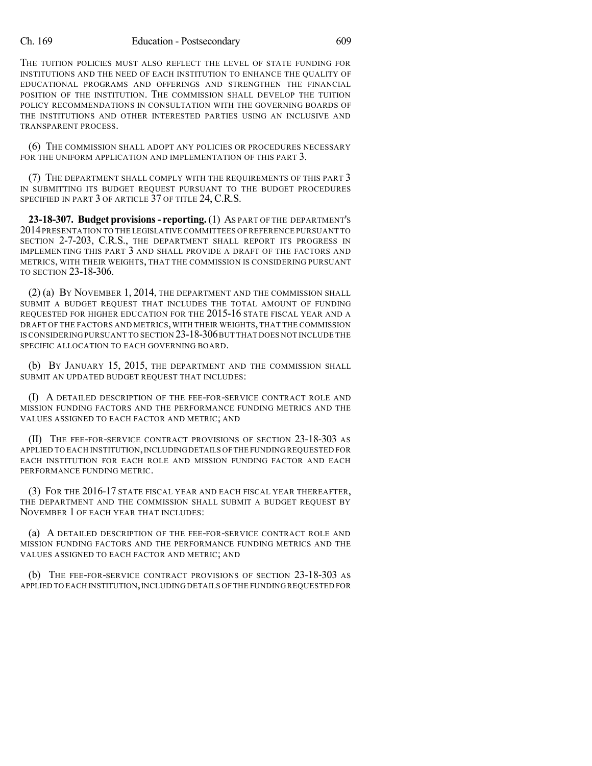THE TUITION POLICIES MUST ALSO REFLECT THE LEVEL OF STATE FUNDING FOR INSTITUTIONS AND THE NEED OF EACH INSTITUTION TO ENHANCE THE QUALITY OF EDUCATIONAL PROGRAMS AND OFFERINGS AND STRENGTHEN THE FINANCIAL POSITION OF THE INSTITUTION. THE COMMISSION SHALL DEVELOP THE TUITION POLICY RECOMMENDATIONS IN CONSULTATION WITH THE GOVERNING BOARDS OF THE INSTITUTIONS AND OTHER INTERESTED PARTIES USING AN INCLUSIVE AND TRANSPARENT PROCESS.

(6) THE COMMISSION SHALL ADOPT ANY POLICIES OR PROCEDURES NECESSARY FOR THE UNIFORM APPLICATION AND IMPLEMENTATION OF THIS PART 3.

(7) THE DEPARTMENT SHALL COMPLY WITH THE REQUIREMENTS OF THIS PART 3 IN SUBMITTING ITS BUDGET REQUEST PURSUANT TO THE BUDGET PROCEDURES SPECIFIED IN PART 3 OF ARTICLE 37 OF TITLE 24, C.R.S.

**23-18-307. Budget provisions- reporting.** (1) AS PART OF THE DEPARTMENT'S 2014PRESENTATION TO THE LEGISLATIVE COMMITTEES OF REFERENCE PURSUANT TO SECTION 2-7-203, C.R.S., THE DEPARTMENT SHALL REPORT ITS PROGRESS IN IMPLEMENTING THIS PART 3 AND SHALL PROVIDE A DRAFT OF THE FACTORS AND METRICS, WITH THEIR WEIGHTS, THAT THE COMMISSION IS CONSIDERING PURSUANT TO SECTION 23-18-306.

(2) (a) BY NOVEMBER 1, 2014, THE DEPARTMENT AND THE COMMISSION SHALL SUBMIT A BUDGET REQUEST THAT INCLUDES THE TOTAL AMOUNT OF FUNDING REQUESTED FOR HIGHER EDUCATION FOR THE 2015-16 STATE FISCAL YEAR AND A DRAFT OF THE FACTORS AND METRICS,WITH THEIR WEIGHTS, THAT THE COMMISSION IS CONSIDERING PURSUANT TO SECTION 23-18-306BUT THAT DOES NOT INCLUDE THE SPECIFIC ALLOCATION TO EACH GOVERNING BOARD.

(b) BY JANUARY 15, 2015, THE DEPARTMENT AND THE COMMISSION SHALL SUBMIT AN UPDATED BUDGET REQUEST THAT INCLUDES:

(I) A DETAILED DESCRIPTION OF THE FEE-FOR-SERVICE CONTRACT ROLE AND MISSION FUNDING FACTORS AND THE PERFORMANCE FUNDING METRICS AND THE VALUES ASSIGNED TO EACH FACTOR AND METRIC; AND

(II) THE FEE-FOR-SERVICE CONTRACT PROVISIONS OF SECTION 23-18-303 AS APPLIED TO EACH INSTITUTION, INCLUDING DETAILS OF THE FUNDING REQUESTED FOR EACH INSTITUTION FOR EACH ROLE AND MISSION FUNDING FACTOR AND EACH PERFORMANCE FUNDING METRIC.

(3) FOR THE 2016-17 STATE FISCAL YEAR AND EACH FISCAL YEAR THEREAFTER, THE DEPARTMENT AND THE COMMISSION SHALL SUBMIT A BUDGET REQUEST BY NOVEMBER 1 OF EACH YEAR THAT INCLUDES:

(a) A DETAILED DESCRIPTION OF THE FEE-FOR-SERVICE CONTRACT ROLE AND MISSION FUNDING FACTORS AND THE PERFORMANCE FUNDING METRICS AND THE VALUES ASSIGNED TO EACH FACTOR AND METRIC; AND

(b) THE FEE-FOR-SERVICE CONTRACT PROVISIONS OF SECTION 23-18-303 AS APPLIED TO EACH INSTITUTION,INCLUDING DETAILS OF THE FUNDING REQUESTED FOR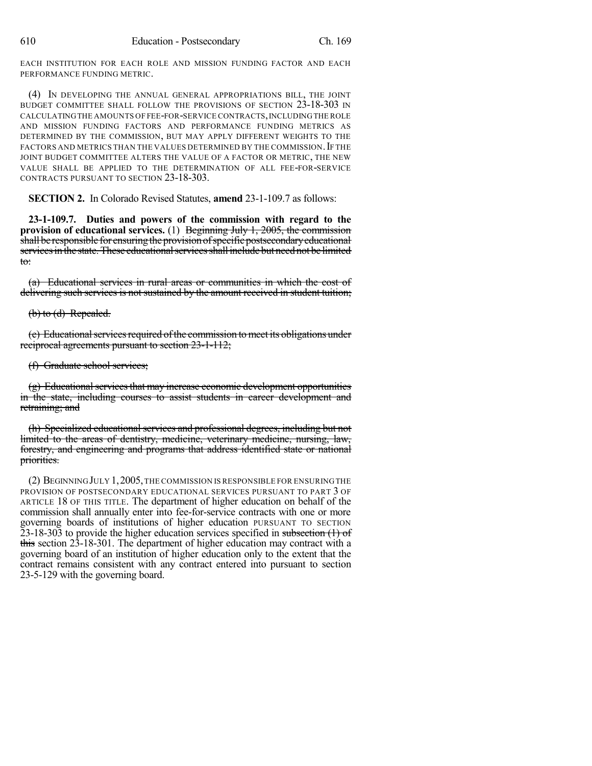EACH INSTITUTION FOR EACH ROLE AND MISSION FUNDING FACTOR AND EACH PERFORMANCE FUNDING METRIC.

(4) IN DEVELOPING THE ANNUAL GENERAL APPROPRIATIONS BILL, THE JOINT BUDGET COMMITTEE SHALL FOLLOW THE PROVISIONS OF SECTION 23-18-303 IN CALCULATINGTHE AMOUNTS OF FEE-FOR-SERVICE CONTRACTS,INCLUDINGTHE ROLE AND MISSION FUNDING FACTORS AND PERFORMANCE FUNDING METRICS AS DETERMINED BY THE COMMISSION, BUT MAY APPLY DIFFERENT WEIGHTS TO THE FACTORS AND METRICS THAN THE VALUES DETERMINED BY THE COMMISSION. IF THE JOINT BUDGET COMMITTEE ALTERS THE VALUE OF A FACTOR OR METRIC, THE NEW VALUE SHALL BE APPLIED TO THE DETERMINATION OF ALL FEE-FOR-SERVICE CONTRACTS PURSUANT TO SECTION 23-18-303.

**SECTION 2.** In Colorado Revised Statutes, **amend** 23-1-109.7 as follows:

**23-1-109.7. Duties and powers of the commission with regard to the provision of educational services.** (1) Beginning July 1, 2005, the commission shall be responsible for ensuring the provision of specific postsecondary educational services in the state. These educational services shall include but need not be limited to:

(a) Educational services in rural areas or communities in which the cost of delivering such services is not sustained by the amount received in student tuition;

#### $(b)$  to  $(d)$  Repealed.

(e) Educational services required of the commission to meet its obligations under reciprocal agreements pursuant to section 23-1-112;

### (f) Graduate school services;

(g) Educational services that may increase economic development opportunities in the state, including courses to assist students in career development and retraining; and

(h) Specialized educational services and professional degrees, including but not limited to the areas of dentistry, medicine, veterinary medicine, nursing, law, forestry, and engineering and programs that address identified state or national priorities.

(2) BEGINNINGJULY 1,2005,THE COMMISSION IS RESPONSIBLE FOR ENSURINGTHE PROVISION OF POSTSECONDARY EDUCATIONAL SERVICES PURSUANT TO PART 3 OF ARTICLE 18 OF THIS TITLE. The department of higher education on behalf of the commission shall annually enter into fee-for-service contracts with one or more governing boards of institutions of higher education PURSUANT TO SECTION  $23-18-303$  to provide the higher education services specified in subsection  $(1)$  of this section 23-18-301. The department of higher education may contract with a governing board of an institution of higher education only to the extent that the contract remains consistent with any contract entered into pursuant to section 23-5-129 with the governing board.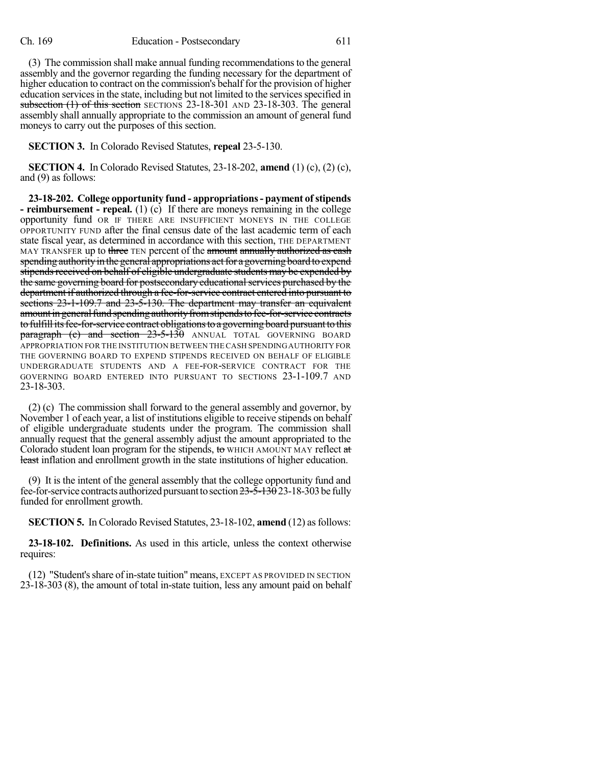(3) The commission shall make annual funding recommendationsto the general assembly and the governor regarding the funding necessary for the department of higher education to contract on the commission's behalf for the provision of higher education services in the state, including but not limited to the services specified in subsection (1) of this section SECTIONS 23-18-301 AND 23-18-303. The general assembly shall annually appropriate to the commission an amount of general fund moneys to carry out the purposes of this section.

**SECTION 3.** In Colorado Revised Statutes, **repeal** 23-5-130.

**SECTION 4.** In Colorado Revised Statutes, 23-18-202, **amend** (1) (c), (2) (c), and (9) as follows:

**23-18-202. College opportunity fund - appropriations- payment ofstipends - reimbursement - repeal.** (1) (c) If there are moneys remaining in the college opportunity fund OR IF THERE ARE INSUFFICIENT MONEYS IN THE COLLEGE OPPORTUNITY FUND after the final census date of the last academic term of each state fiscal year, as determined in accordance with this section, THE DEPARTMENT MAY TRANSFER up to three TEN percent of the amount annually authorized as eash spending authority in the general appropriations act for a governing board to expend stipends received on behalf of eligible undergraduate students may be expended by the same governing board for postsecondary educational services purchased by the department if authorized through a fee-for-service contract entered into pursuant to sections 23-1-109.7 and 23-5-130. The department may transfer an equivalent amount in general fund spending authority from stipends to fee-for-service contracts to fulfill its fee-for-service contract obligations to a governing board pursuant to this paragraph (c) and section 23-5-130 ANNUAL TOTAL GOVERNING BOARD APPROPRIATION FOR THE INSTITUTION BETWEEN THE CASH SPENDINGAUTHORITY FOR THE GOVERNING BOARD TO EXPEND STIPENDS RECEIVED ON BEHALF OF ELIGIBLE UNDERGRADUATE STUDENTS AND A FEE-FOR-SERVICE CONTRACT FOR THE GOVERNING BOARD ENTERED INTO PURSUANT TO SECTIONS 23-1-109.7 AND 23-18-303.

(2) (c) The commission shall forward to the general assembly and governor, by November 1 of each year, a list of institutions eligible to receive stipends on behalf of eligible undergraduate students under the program. The commission shall annually request that the general assembly adjust the amount appropriated to the Colorado student loan program for the stipends, to WHICH AMOUNT MAY reflect at least inflation and enrollment growth in the state institutions of higher education.

(9) It is the intent of the general assembly that the college opportunity fund and fee-for-service contracts authorized pursuant to section  $23-5-13023-18-303$  be fully funded for enrollment growth.

**SECTION 5.** In Colorado Revised Statutes, 23-18-102, **amend** (12) as follows:

**23-18-102. Definitions.** As used in this article, unless the context otherwise requires:

(12) "Student'sshare of in-state tuition" means, EXCEPT AS PROVIDED IN SECTION 23-18-303 (8), the amount of total in-state tuition, less any amount paid on behalf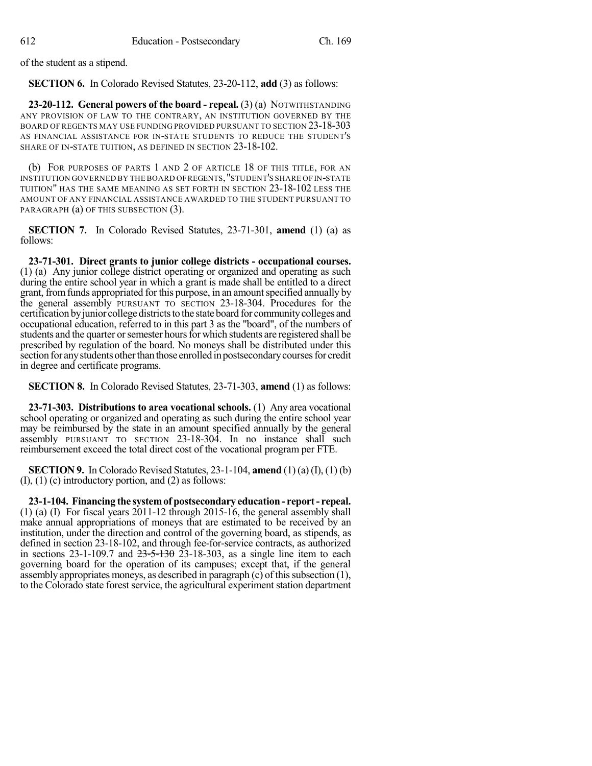of the student as a stipend.

**SECTION 6.** In Colorado Revised Statutes, 23-20-112, **add** (3) as follows:

**23-20-112. General powers of the board - repeal.** (3) (a) NOTWITHSTANDING ANY PROVISION OF LAW TO THE CONTRARY, AN INSTITUTION GOVERNED BY THE BOARD OF REGENTS MAY USE FUNDING PROVIDED PURSUANT TO SECTION 23-18-303 AS FINANCIAL ASSISTANCE FOR IN-STATE STUDENTS TO REDUCE THE STUDENT'S SHARE OF IN-STATE TUITION, AS DEFINED IN SECTION 23-18-102.

(b) FOR PURPOSES OF PARTS 1 AND 2 OF ARTICLE 18 OF THIS TITLE, FOR AN INSTITUTION GOVERNED BY THE BOARD OFREGENTS,"STUDENT'S SHARE OF IN-STATE TUITION" HAS THE SAME MEANING AS SET FORTH IN SECTION 23-18-102 LESS THE AMOUNT OF ANY FINANCIAL ASSISTANCE AWARDED TO THE STUDENT PURSUANT TO PARAGRAPH (a) OF THIS SUBSECTION (3).

**SECTION 7.** In Colorado Revised Statutes, 23-71-301, **amend** (1) (a) as follows:

**23-71-301. Direct grants to junior college districts - occupational courses.** (1) (a) Any junior college district operating or organized and operating as such during the entire school year in which a grant is made shall be entitled to a direct grant, from funds appropriated for this purpose, in an amount specified annually by the general assembly PURSUANT TO SECTION 23-18-304. Procedures for the certification byjunior collegedistrictsto the state board for communitycolleges and occupational education, referred to in this part 3 as the "board", of the numbers of students and the quarter or semester hours for which students are registered shall be prescribed by regulation of the board. No moneys shall be distributed under this section for any students other than those enrolled in postsecondary courses for credit in degree and certificate programs.

**SECTION 8.** In Colorado Revised Statutes, 23-71-303, **amend** (1) as follows:

**23-71-303. Distributions to area vocational schools.** (1) Any area vocational school operating or organized and operating as such during the entire school year may be reimbursed by the state in an amount specified annually by the general assembly PURSUANT TO SECTION 23-18-304. In no instance shall such reimbursement exceed the total direct cost of the vocational program per FTE.

**SECTION 9.** In Colorado Revised Statutes, 23-1-104, **amend** (1) (a) (I), (1) (b) (I), (1) (c) introductory portion, and (2) as follows:

**23-1-104. Financing the systemof postsecondary education- report- repeal.** (1) (a) (I) For fiscal years 2011-12 through 2015-16, the general assembly shall make annual appropriations of moneys that are estimated to be received by an institution, under the direction and control of the governing board, as stipends, as defined in section 23-18-102, and through fee-for-service contracts, as authorized in sections 23-1-109.7 and  $23-5-130$   $23-18-303$ , as a single line item to each governing board for the operation of its campuses; except that, if the general assembly appropriates moneys, as described in paragraph  $(c)$  of this subsection (1), to the Colorado state forest service, the agricultural experiment station department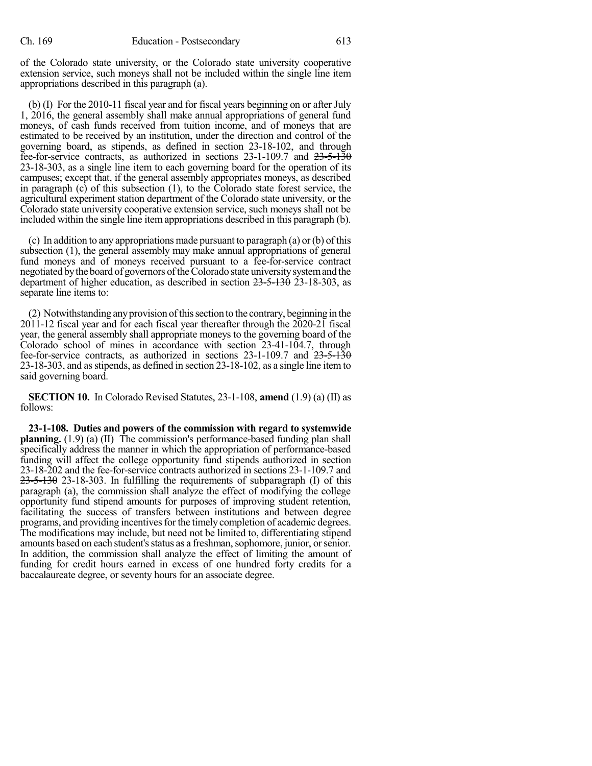of the Colorado state university, or the Colorado state university cooperative extension service, such moneys shall not be included within the single line item appropriations described in this paragraph (a).

(b) (I) For the 2010-11 fiscal year and for fiscal years beginning on or after July 1, 2016, the general assembly shall make annual appropriations of general fund moneys, of cash funds received from tuition income, and of moneys that are estimated to be received by an institution, under the direction and control of the governing board, as stipends, as defined in section 23-18-102, and through fee-for-service contracts, as authorized in sections 23-1-109.7 and  $23\n-5\n-130$ 23-18-303, as a single line item to each governing board for the operation of its campuses; except that, if the general assembly appropriates moneys, as described in paragraph (c) of this subsection (1), to the Colorado state forest service, the agricultural experiment station department of the Colorado state university, or the Colorado state university cooperative extension service, such moneys shall not be included within the single line item appropriations described in this paragraph (b).

(c) In addition to any appropriations made pursuant to paragraph (a) or (b) of this subsection (1), the general assembly may make annual appropriations of general fund moneys and of moneys received pursuant to a fee-for-service contract negotiated by the board of governors of the Colorado state university system and the department of higher education, as described in section 23-5-130 23-18-303, as separate line items to:

(2) Notwithstanding anyprovision ofthissection to the contrary, beginning in the 2011-12 fiscal year and for each fiscal year thereafter through the 2020-21 fiscal year, the general assembly shall appropriate moneys to the governing board of the Colorado school of mines in accordance with section 23-41-104.7, through fee-for-service contracts, as authorized in sections  $23-1-109.7$  and  $23-5-130$ 23-18-303, and asstipends, as defined in section 23-18-102, as a single line itemto said governing board.

**SECTION 10.** In Colorado Revised Statutes, 23-1-108, **amend** (1.9) (a) (II) as follows:

**23-1-108. Duties and powers of the commission with regard to systemwide planning.** (1.9) (a) (II) The commission's performance-based funding plan shall specifically address the manner in which the appropriation of performance-based funding will affect the college opportunity fund stipends authorized in section 23-18-202 and the fee-for-service contracts authorized in sections 23-1-109.7 and  $23-5-130$  23-18-303. In fulfilling the requirements of subparagraph (I) of this paragraph (a), the commission shall analyze the effect of modifying the college opportunity fund stipend amounts for purposes of improving student retention, facilitating the success of transfers between institutions and between degree programs, and providing incentivesfor the timely completion of academic degrees. The modifications may include, but need not be limited to, differentiating stipend amounts based on each student's status as a freshman, sophomore, junior, or senior. In addition, the commission shall analyze the effect of limiting the amount of funding for credit hours earned in excess of one hundred forty credits for a baccalaureate degree, or seventy hours for an associate degree.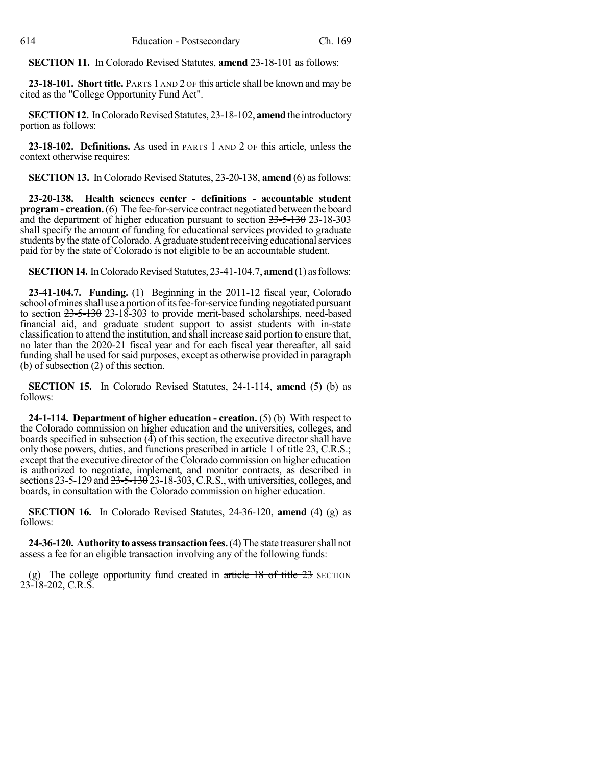**SECTION 11.** In Colorado Revised Statutes, **amend** 23-18-101 as follows:

**23-18-101. Short title.** PARTS 1 AND 2 OF this article shall be known and may be cited as the "College Opportunity Fund Act".

**SECTION 12.** In Colorado Revised Statutes, 23-18-102, **amend** the introductory portion as follows:

**23-18-102. Definitions.** As used in PARTS 1 AND 2 OF this article, unless the context otherwise requires:

**SECTION 13.** In Colorado Revised Statutes, 23-20-138, **amend** (6) as follows:

**23-20-138. Health sciences center - definitions - accountable student program- creation.**(6) The fee-for-service contract negotiated between the board and the department of higher education pursuant to section 23-5-130 23-18-303 shall specify the amount of funding for educational services provided to graduate students by the state of Colorado. A graduate student receiving educational services paid for by the state of Colorado is not eligible to be an accountable student.

**SECTION 14.** In Colorado Revised Statutes, 23-41-104.7, **amend** (1) as follows:

**23-41-104.7. Funding.** (1) Beginning in the 2011-12 fiscal year, Colorado school of mines shall use a portion of its fee-for-service funding negotiated pursuant to section 23-5-130 23-18-303 to provide merit-based scholarships, need-based financial aid, and graduate student support to assist students with in-state classification to attend the institution, and shall increase said portion to ensure that, no later than the 2020-21 fiscal year and for each fiscal year thereafter, all said funding shall be used for said purposes, except as otherwise provided in paragraph (b) of subsection (2) of this section.

**SECTION 15.** In Colorado Revised Statutes, 24-1-114, **amend** (5) (b) as follows:

**24-1-114. Department of higher education - creation.** (5) (b) With respect to the Colorado commission on higher education and the universities, colleges, and boards specified in subsection (4) of this section, the executive director shall have only those powers, duties, and functions prescribed in article 1 of title 23, C.R.S.; except that the executive director of the Colorado commission on higher education is authorized to negotiate, implement, and monitor contracts, as described in sections 23-5-129 and  $23-5-130$  23-18-303, C.R.S., with universities, colleges, and boards, in consultation with the Colorado commission on higher education.

**SECTION 16.** In Colorado Revised Statutes, 24-36-120, **amend** (4) (g) as follows:

**24-36-120. Authority to assess transaction fees.** (4) The state treasurer shall not assess a fee for an eligible transaction involving any of the following funds:

(g) The college opportunity fund created in  $\pi$  title  $\pi$  +  $\pi$  and  $\pi$  are  $\pi$  section 23-18-202, C.R.S.